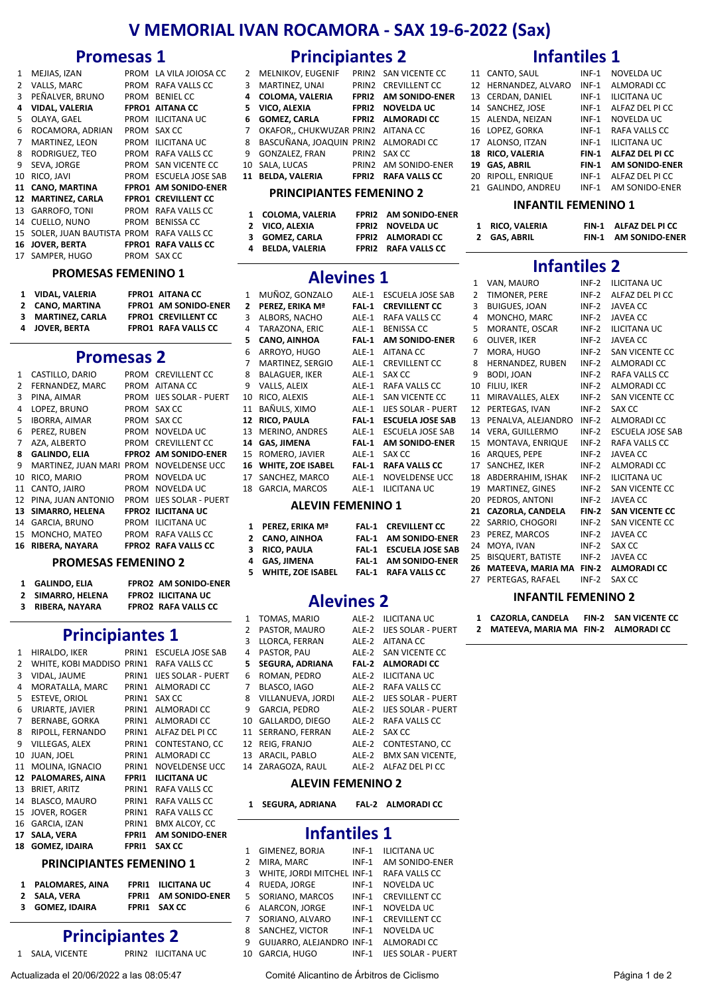# **V MEMORIAL IVAN ROCAMORA ‐ SAX 19‐6‐2022 (Sax)**

# **Promesas 1**

| $\mathbf{1}$ | MEJIAS, IZAN              | PROM         | LA VILA JOIOSA CC       |
|--------------|---------------------------|--------------|-------------------------|
| 2            | VALLS, MARC               | PROM         | RAFA VALLS CC           |
| 3            | PEÑALVER, BRUNO           | PROM         | <b>BENIEL CC</b>        |
| 4            | <b>VIDAL, VALERIA</b>     | <b>FPRO1</b> | <b>AITANA CC</b>        |
| 5.           | OLAYA, GAEL               | PROM         | ILICITANA UC            |
| 6            | ROCAMORA, ADRIAN          | <b>PROM</b>  | SAX CC                  |
| 7            | MARTINEZ, LEON            | PROM         | <b>ILICITANA UC</b>     |
| 8            | RODRIGUEZ, TEO            | PROM         | RAFA VALLS CC           |
| 9            | SEVA, JORGE               | PROM         | SAN VICENTE CC          |
| 10           | RICO, JAVI                | PROM         | <b>ESCUELA JOSE SAB</b> |
| 11           | <b>CANO, MARTINA</b>      | FPRO1        | <b>AM SONIDO-ENER</b>   |
| 12           | <b>MARTINEZ, CARLA</b>    | FPRO1        | <b>CREVILLENT CC</b>    |
| 13           | <b>GARROFO, TONI</b>      | PROM         | RAFA VALLS CC           |
| 14           | CUELLO, NUNO              | PROM         | <b>BENISSA CC</b>       |
| 15           | SOLER, JUAN BAUTISTA PROM |              | RAFA VALLS CC           |
| 16           | <b>JOVER, BERTA</b>       | FPRO1        | <b>RAFA VALLS CC</b>    |
| 17           | SAMPER, HUGO              | PROM         | SAX CC                  |

#### **PROMESAS FEMENINO 1**

| 1 VIDAL VALERIA   | <b>FPRO1 AITANA CC</b>      |
|-------------------|-----------------------------|
| 2 CANO, MARTINA   | <b>FPRO1 AM SONIDO-ENER</b> |
| 3 MARTINEZ, CARLA | <b>FPRO1 CREVILLENT CC</b>  |
| 4 JOVER, BERTA    | <b>FPRO1 RAFA VALLS CC</b>  |

# **Promesas 2**

| 1  | CASTILLO, DARIO      | <b>PROM</b> | <b>CREVILLENT CC</b>        |
|----|----------------------|-------------|-----------------------------|
| 2  | FERNANDEZ, MARC      | <b>PROM</b> | AITANA CC                   |
| 3  | PINA, AIMAR          | <b>PROM</b> | <b>LIES SOLAR - PUERT</b>   |
| 4  | LOPEZ, BRUNO         | <b>PROM</b> | SAX CC                      |
| 5. | <b>IBORRA, AIMAR</b> | <b>PROM</b> | SAX CC                      |
| 6  | PEREZ, RUBEN         | <b>PROM</b> | NOVELDA UC                  |
| 7  | AZA. ALBERTO         | <b>PROM</b> | <b>CREVILLENT CC</b>        |
| 8  | <b>GALINDO, ELIA</b> |             | <b>FPRO2 AM SONIDO-ENER</b> |
| 9  | MARTINEZ, JUAN MARI  | <b>PROM</b> | NOVELDENSE UCC              |
| 10 | RICO, MARIO          | PROM        | NOVELDA UC                  |
| 11 | CANTO, JAIRO         | <b>PROM</b> | NOVELDA UC                  |
| 12 | PINA. JUAN ANTONIO   | <b>PROM</b> | <b>IJES SOLAR - PUERT</b>   |
| 13 | SIMARRO, HELENA      |             | <b>FPRO2 ILICITANA UC</b>   |
| 14 | GARCIA, BRUNO        | PROM        | ILICITANA UC                |
| 15 | MONCHO, MATEO        | PROM        | RAFA VALLS CC               |
| 16 | RIBERA, NAYARA       |             | <b>FPRO2 RAFA VALLS CC</b>  |
|    |                      |             |                             |

## **PROMESAS FEMENINO 2**

| 1 GALINDO. ELIA   | <b>FPRO2 AM SONIDO-ENER</b> |
|-------------------|-----------------------------|
| 2 SIMARRO, HELENA | <b>FPRO2 ILICITANA UC</b>   |
| 3 RIBERA, NAYARA  | <b>FPRO2 RAFA VALLS CC</b>  |

# **Principiantes 1**

| $\mathbf{1}$   | HIRALDO, IKER                       | PRIN1 | ESCUELA JOSE SAB          |
|----------------|-------------------------------------|-------|---------------------------|
| $\overline{2}$ | WHITE, KOBI MADDISO                 | PRIN1 | RAFA VALLS CC             |
| 3              | VIDAL, JAUME                        | PRIN1 | <b>IJES SOLAR - PUERT</b> |
| 4              | MORATALLA, MARC                     | PRIN1 | ALMORADI CC               |
| 5              | <b>ESTEVE, ORIOL</b>                | PRIN1 | SAX CC                    |
| 6              | URIARTE, JAVIER                     | PRIN1 | ALMORADI CC               |
| $\overline{7}$ | <b>BERNABE, GORKA</b>               | PRIN1 | ALMORADI CC               |
| 8              | RIPOLL, FERNANDO                    | PRIN1 | ALFAZ DEL PI CC           |
| 9              | VILLEGAS, ALEX                      | PRIN1 | CONTESTANO, CC            |
| 10             | JUAN, JOEL                          | PRIN1 | ALMORADI CC               |
| 11             | MOLINA, IGNACIO                     | PRIN1 | NOVELDENSE UCC            |
| 12             | PALOMARES, AINA                     | FPRI1 | <b>ILICITANA UC</b>       |
| 13             | <b>BRIET, ARITZ</b>                 | PRIN1 | RAFA VALLS CC             |
| 14             | BLASCO, MAURO                       | PRIN1 | RAFA VALLS CC             |
| 15             | <b>JOVER, ROGER</b>                 | PRIN1 | RAFA VALLS CC             |
| 16             | GARCIA, IZAN                        | PRIN1 | BMX ALCOY, CC             |
| 17             | SALA, VERA                          | FPRI1 | AM SONIDO-ENER            |
| 18             | <b>GOMEZ, IDAIRA</b>                | FPRI1 | SAX CC                    |
|                | <b>DOISICIDIANITEC EFRAENUMIO 4</b> |       |                           |

#### **PRINCIPIANTES FEMENINO 1**

| 1 PALOMARES, AINA | FPRI1 ILICITANA UC          |
|-------------------|-----------------------------|
| 2 SALA, VERA      | <b>FPRI1 AM SONIDO-ENER</b> |
| 3 GOMEZ, IDAIRA   | <b>FPRI1 SAX CC</b>         |
|                   |                             |

# **Principiantes 2**

1 SALA, VICENTE PRIN2 ILICITANA UC

Actualizada el 20/06/2022 a las 08:05:47 Comité Alicantino de Árbitros de Ciclismo Página 1 de 2

# **Principiantes 2**

|    | 2 MELNIKOV, EUGENIF                    | PRIN2 SAN VICENTE CC        |
|----|----------------------------------------|-----------------------------|
| 3  | MARTINEZ, UNAI                         | PRIN2 CREVILLENT CC         |
| 4  | <b>COLOMA, VALERIA</b>                 | <b>FPRI2 AM SONIDO-ENER</b> |
| 5. | VICO, ALEXIA                           | <b>FPRI2 NOVELDAUC</b>      |
| 6  | <b>GOMEZ, CARLA</b>                    | <b>FPRI2 ALMORADI CC</b>    |
|    | 7 OKAFOR,, CHUKWUZAR PRIN2 AITANA CC   |                             |
|    | 8 BASCUÑANA, JOAQUIN PRIN2 ALMORADI CC |                             |
| 9  | <b>GONZALEZ, FRAN</b>                  | PRIN2 SAX CC                |
|    | 10 SALA, LUCAS                         | PRIN2 AM SONIDO-ENER        |
|    | 11 BELDA. VALERIA                      | FPRI2 RAFA VALLS CC         |
|    |                                        |                             |

#### **PRINCIPIANTES FEM**

1 COLOMA, VALERIA FPRI2 AM SONIDO-ENER<br>2 VICO, ALEXIA FPRI2 NOVELDA UC **2 VICO, ALEXIA FPRI2 NOVELDA UC**<br>**2 GOMEZ, CARLA FPRI2 ALMORADI CO 3 GOMEZ, CARLA ALMORADI FPRI2 CC**

|                | <b>Alevines 1</b>     |              |                           |
|----------------|-----------------------|--------------|---------------------------|
| $\mathbf{1}$   | MUÑOZ, GONZALO        | ALE-1        | <b>ESCUELA JOSE SAB</b>   |
| $\overline{2}$ | PEREZ, ERIKA Mª       | FAL 1        | <b>CREVILLENT CC</b>      |
| 3              | ALBORS, NACHO         | ALE-1        | RAFA VALLS CC             |
| 4              | TARAZONA, ERIC        | ALE-1        | <b>BENISSA CC</b>         |
| 5              | CANO, AINHOA          | FAL 1        | <b>AM SONIDO-ENER</b>     |
| 6              | ARROYO, HUGO          | ALE-1        | <b>AITANA CC</b>          |
| $\overline{7}$ | MARTINEZ, SERGIO      | ALE-1        | <b>CREVILLENT CC</b>      |
| 8              | <b>BALAGUER, IKER</b> | ALE-1        | SAX CC                    |
| 9              | VALLS, ALEIX          | ALE-1        | RAFA VALLS CC             |
| 10             | RICO, ALEXIS          | ALE-1        | <b>SAN VICENTE CC</b>     |
| 11             | BAÑULS, XIMO          | ALE-1        | <b>IJES SOLAR - PUERT</b> |
| 12             | RICO, PAULA           | <b>FAL-1</b> | <b>ESCUELA JOSE SAB</b>   |
| 13             | MERINO, ANDRES        | ALE-1        | <b>ESCUELA JOSE SAB</b>   |
| 14             | <b>GAS, JIMENA</b>    | <b>FAL-1</b> | <b>AM SONIDO-ENER</b>     |
| 15             | ROMERO, JAVIER        | ALE-1        | SAX CC                    |
| 16             | WHITE, ZOE ISABEL     | <b>FAL-1</b> | <b>RAFA VALLS CC</b>      |
| 17             | SANCHEZ, MARCO        | ALE-1        | <b>NOVELDENSE UCC</b>     |
| 18             | GARCIA, MARCOS        | ALE-1        | <b>ILICITANA UC</b>       |

#### **ALEVIN FEMENINO 1**

- **1** PEREZ, ERIKA M<sup>ª</sup> FAL-1 CREVILLENT CC<br>**2** CANO, AINHOA FAL-1 AM SONIDO-EN **2 CANO, AINHOA AM FAL‐1 SONIDO‐ENER 3 RICO, PAULA FAL‐1 ESCUELA JOSE SAB**
- **4 GAS, JIMENA AM FAL‐1 SONIDO‐ENER 5 WHITE, ZOE ISABEL RAFA FAL‐1 VALLS CC**

# **Alevines 2**

| $\mathbf{1}$   | TOMAS, MARIO           | ALE-2 | <b>ILICITANA UC</b>       |
|----------------|------------------------|-------|---------------------------|
| $\overline{2}$ | PASTOR, MAURO          | ALE-2 | <b>IJES SOLAR - PUERT</b> |
| 3              | LLORCA. FERRAN         | ALE-2 | <b>AITANA CC</b>          |
| 4              | PASTOR, PAU            | ALE-2 | SAN VICENTE CC            |
| 5              | <b>SEGURA, ADRIANA</b> | FAL 2 | <b>ALMORADI CC</b>        |
| 6              | ROMAN, PEDRO           | ALE-2 | <b>ILICITANA UC</b>       |
| 7              | BLASCO, IAGO           | ALE-2 | RAFA VALLS CC             |
| 8              | VILLANUEVA, JORDI      | ALE-2 | <b>IJES SOLAR - PUERT</b> |
| q              | <b>GARCIA, PEDRO</b>   | ALE-2 | <b>IJES SOLAR - PUERT</b> |
| 10             | GALLARDO, DIEGO        | ALE-2 | RAFA VALLS CC             |
| 11             | SERRANO, FERRAN        | ALE-2 | SAX CC                    |
| 12             | REIG. FRANJO           | ALE-2 | CONTESTANO, CC            |
| 13             | ARACIL, PABLO          | ALE-2 | <b>BMX SAN VICENTE.</b>   |
| 14             | ZARAGOZA, RAUL         | ALE-2 | ALFAZ DEL PI CC           |
|                |                        |       |                           |

## **ALEVIN FEMENINO 2**

**1 SEGURA, ADRIANA ALMORADI FAL‐2 CC**

# **Infantiles 1**

| 1  | GIMENEZ, BORJA             | $INF-1$ | <b>ILICITANA UC</b>       |
|----|----------------------------|---------|---------------------------|
| 2  | MIRA, MARC                 | $INF-1$ | AM SONIDO-ENER            |
| 3  | WHITE. JORDI MITCHEL INF-1 |         | RAFA VALLS CC             |
| 4  | RUEDA, JORGE               | $INF-1$ | NOVELDA UC                |
| 5  | SORIANO, MARCOS            | $INF-1$ | <b>CREVILLENT CC</b>      |
| 6  | ALARCON, JORGE             | $INF-1$ | NOVELDA UC                |
| 7  | SORIANO, ALVARO            | $INF-1$ | <b>CREVILLENT CC</b>      |
| 8  | SANCHEZ, VICTOR            | $INF-1$ | NOVELDA UC                |
| q  | GUIJARRO, ALEJANDRO        | $INF-1$ | ALMORADI CC               |
| 10 | <b>GARCIA, HUGO</b>        | $INF-1$ | <b>IJES SOLAR - PUERT</b> |
|    |                            |         |                           |

| $\overline{2}$  | <b>SAN VICENTE CC</b> |  |
|-----------------|-----------------------|--|
|                 | 12 CREVILLENT CC      |  |
|                 | 2 AM SONIDO-ENER      |  |
|                 | 2 NOVELDA UC          |  |
|                 | 2 ALMORADI CC         |  |
|                 | I2 AITANA CC          |  |
|                 | I2 ALMORADI CC        |  |
|                 | 12 - SAX CC           |  |
|                 | 12 AM SONIDO-ENER     |  |
|                 | 2  RAFA VALLS CC      |  |
| <b>MENINO 2</b> |                       |  |

# **4 BELDA, VALERIA RAFA FPRI2 VALLS CC**

|     | E-1 ESCUELA JOSE SAB      |
|-----|---------------------------|
|     | .L-1 CREVILLENT CC        |
|     | E-1 RAFA VALLS CC         |
|     | E-1 BENISSA CC            |
|     | <b>L-1 AM SONIDO-ENER</b> |
|     | E-1 AITANA CC             |
|     | <b>E-1 CREVILLENT CC</b>  |
|     | E-1 SAX CC                |
|     | E-1 RAFA VALLS CC         |
|     | <b>E-1 SAN VICENTE CC</b> |
| E-1 | <b>IJES SOLAR - PUERT</b> |
| L-1 | <b>ESCUELA JOSE SAB</b>   |
|     | E-1 ESCUELA JOSE SAB      |
|     | <b>L-1 AM SONIDO-ENER</b> |
|     | E-1 SAX CC                |
|     | L-1 RAFA VALLS CC         |
|     | E-1 NOVELDENSE UCC        |
|     | E-1 ILICITANA UC          |
|     |                           |

|       | 16 ARQUES, PEPE          |
|-------|--------------------------|
| i CC  | 17 SANCHEZ, IKER         |
| e ucc | 18 ABDERRAHIM, ISHAK     |
| C     | 19 MARTINEZ, GINES       |
|       | 20 PEDROS, ANTONI        |
|       | 21 CAZORLA, CANDELA      |
|       | <b>33 CARRIO CUOCORI</b> |

#### 22 SARRIO, CHOGORI INF-2 SAN VICENTE CC<br>23 PEREZ MARCOS INF-2 IAVEA CC 23 PEREZ, MARCOS 24 MOYA, IVAN INF-2 SAX CC<br>25 BISQUERT. BATISTE INF-2 JAVEA CC 25 BISQUERT, BATISTE **26 MATEEVA, MARIA MA ALMORADI FIN‐2 CC** 27 PERTEGAS, RAFAEL INF-2 SAX CC

11 MIRAVALLES, ALEX INF-2 SAN VICENTE CC<br>12 PERTEGAS, IVAN INF-2 SAX CC

**1 CAZORLA, CANDELA SAN FIN‐2 VICENTE CC 2 MATEEVA, MARIA MA ALMORADI FIN‐2 CC**

**INFANTIL FEMENINO 2**

#### 2 TIMONER, PERE INF-2 ALFAZ DE<br>3 BUIGUES, JOAN INF-2 JAVEA CC 3 BUIGUES, JOAN 4 MONCHO, MARC INF-2 JAVEA CC<br>5 MORANTE, OSCAR INF-2 ILICITANA UC 5 MORANTE, OSCAR 6 OLIVER, IKER INF-2 JAVEA CC 7 MORA, HUGO INF-2 SAN VICENTE CC 8 HERNANDEZ, RUBEN INF-2 ALMORADI CC<br>9 BODI, JOAN INF-2 RAFA VALLS CC 10 FILIU, IKER INF-2 ALMORADI CC

**12 RICO, PAULA FAL‐1 ESCUELA JOSE SAB** 12 PERTEGAS, IVAN INF-2 SAX CC 13 PENALVA, ALEJANDRO INF-2 ALMORADI CC<br>14 VERA, GUILLERMO INF-2 ESCUELA JOSE SAB 14 VERA, GUILLERMO 15 MONTAVA, ENRIQUE INF-2 RAFA VALLS CC

# **Infantiles 1**

|    | 11 CANTO, SAUL          | $INF-1$      | NOVELDA UC            |
|----|-------------------------|--------------|-----------------------|
|    | 12 HERNANDEZ, ALVARO    | $INF-1$      | <b>ALMORADI CC</b>    |
|    | 13 CERDAN, DANIEL       | $INF-1$      | ILICITANA UC          |
|    | 14 SANCHEZ, JOSE        | $INF-1$      | ALFAZ DEL PI CC       |
|    | 15 ALENDA, NEIZAN       | $INF-1$      | <b>NOVELDA UC</b>     |
|    | 16 LOPEZ, GORKA         | $INF-1$      | RAFA VALLS CC         |
|    | 17 ALONSO, ITZAN        | $INF-1$      | <b>ILICITANA UC</b>   |
|    | <b>18 RICO, VALERIA</b> | <b>FIN-1</b> | ALFAZ DEL PI CC       |
| 19 | <b>GAS, ABRIL</b>       | <b>FIN-1</b> | <b>AM SONIDO-ENER</b> |
| 20 | RIPOLL, ENRIQUE         | $INF-1$      | ALFAZ DEL PI CC       |
|    | 21 GALINDO, ANDREU      | $INF-1$      | AM SONIDO-ENER        |

## **INFANTIL FEMENINO 1**

| 1 RICO. VALERIA | FIN-1 ALFAZ DEL PICC |
|-----------------|----------------------|
| 2 GAS, ABRIL    | FIN-1 AM SONIDO-ENER |

1 NF-2 ILICITANA UC<br>1 NF-2 ALFAZ DEL PICC

RAFA VALLS CC

**21 CAZORLA, CANDELA SAN FIN‐2 VICENTE CC**

INF-2 IAVEA CC INE-2 ALMORADI CC INF-2 ILICITANA UC INF-2 SAN VICENTE CC INF-2 JAVEA CC<br>**FIN-2 SAN VICE** 

**Infantiles 2**<br>**I** VAN MAURO **INF-2** III